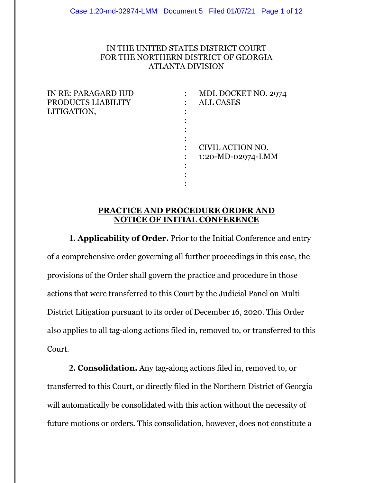# IN THE UNITED STATES DISTRICT COURT FOR THE NORTHERN DISTRICT OF GEORGIA ATLANTA DIVISION

| MDL DOCKET NO. 2974 |
|---------------------|
| <b>ALL CASES</b>    |
|                     |
|                     |
|                     |
|                     |
| CIVIL ACTION NO.    |
| 1:20-MD-02974-LMM   |
|                     |
|                     |
|                     |

## **PRACTICE AND PROCEDURE ORDER AND NOTICE OF INITIAL CONFERENCE**

:

**1. Applicability of Order.** Prior to the Initial Conference and entry of a comprehensive order governing all further proceedings in this case, the provisions of the Order shall govern the practice and procedure in those actions that were transferred to this Court by the Judicial Panel on Multi District Litigation pursuant to its order of December 16, 2020. This Order also applies to all tag-along actions filed in, removed to, or transferred to this Court.

**2. Consolidation.** Any tag-along actions filed in, removed to, or transferred to this Court, or directly filed in the Northern District of Georgia will automatically be consolidated with this action without the necessity of future motions or orders. This consolidation, however, does not constitute a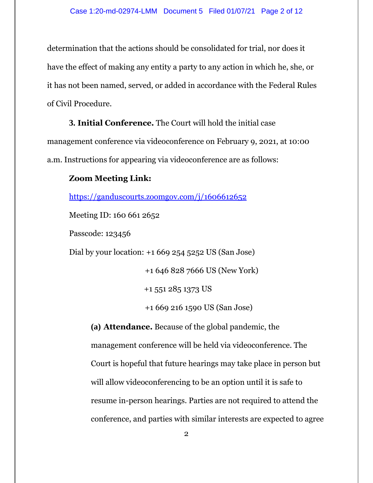determination that the actions should be consolidated for trial, nor does it have the effect of making any entity a party to any action in which he, she, or it has not been named, served, or added in accordance with the Federal Rules of Civil Procedure.

**3. Initial Conference.** The Court will hold the initial case management conference via videoconference on February 9, 2021, at 10:00 a.m. Instructions for appearing via videoconference are as follows:

## **Zoom Meeting Link:**

https://ganduscourts.zoomgov.com/j/1606612652

Meeting ID: 160 661 2652

Passcode: 123456

Dial by your location: +1 669 254 5252 US (San Jose)

+1 646 828 7666 US (New York)

+1 551 285 1373 US

+1 669 216 1590 US (San Jose)

**(a) Attendance.** Because of the global pandemic, the management conference will be held via videoconference. The Court is hopeful that future hearings may take place in person but will allow videoconferencing to be an option until it is safe to resume in-person hearings. Parties are not required to attend the conference, and parties with similar interests are expected to agree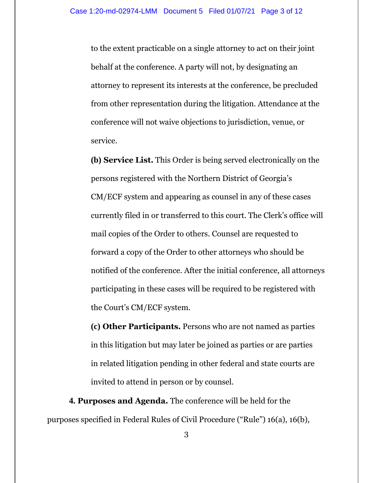to the extent practicable on a single attorney to act on their joint behalf at the conference. A party will not, by designating an attorney to represent its interests at the conference, be precluded from other representation during the litigation. Attendance at the conference will not waive objections to jurisdiction, venue, or service.

**(b) Service List.** This Order is being served electronically on the persons registered with the Northern District of Georgia's CM/ECF system and appearing as counsel in any of these cases currently filed in or transferred to this court. The Clerk's office will mail copies of the Order to others. Counsel are requested to forward a copy of the Order to other attorneys who should be notified of the conference. After the initial conference, all attorneys participating in these cases will be required to be registered with the Court's CM/ECF system.

**(c) Other Participants.** Persons who are not named as parties in this litigation but may later be joined as parties or are parties in related litigation pending in other federal and state courts are invited to attend in person or by counsel.

**4. Purposes and Agenda.** The conference will be held for the purposes specified in Federal Rules of Civil Procedure ("Rule") 16(a), 16(b),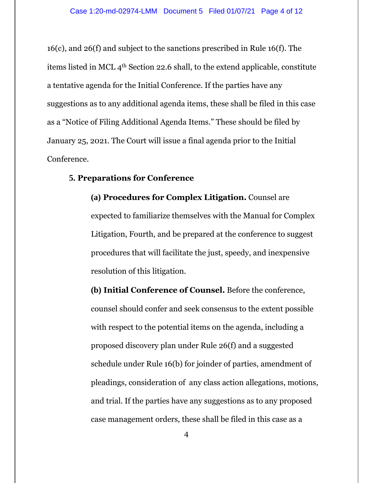16(c), and 26(f) and subject to the sanctions prescribed in Rule 16(f). The items listed in MCL 4th Section 22.6 shall, to the extend applicable, constitute a tentative agenda for the Initial Conference. If the parties have any suggestions as to any additional agenda items, these shall be filed in this case as a "Notice of Filing Additional Agenda Items." These should be filed by January 25, 2021. The Court will issue a final agenda prior to the Initial Conference.

### **5. Preparations for Conference**

**(a) Procedures for Complex Litigation.** Counsel are expected to familiarize themselves with the Manual for Complex Litigation, Fourth, and be prepared at the conference to suggest procedures that will facilitate the just, speedy, and inexpensive resolution of this litigation.

**(b) Initial Conference of Counsel.** Before the conference, counsel should confer and seek consensus to the extent possible with respect to the potential items on the agenda, including a proposed discovery plan under Rule 26(f) and a suggested schedule under Rule 16(b) for joinder of parties, amendment of pleadings, consideration of any class action allegations, motions, and trial. If the parties have any suggestions as to any proposed case management orders, these shall be filed in this case as a

4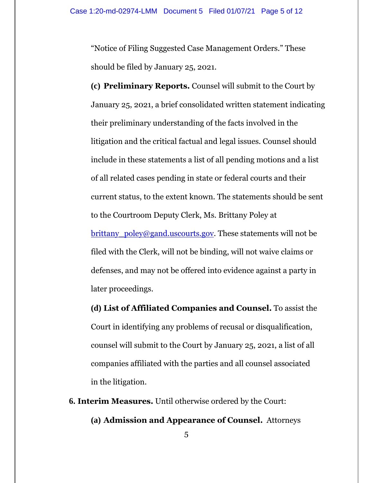"Notice of Filing Suggested Case Management Orders." These should be filed by January 25, 2021.

**(c) Preliminary Reports.** Counsel will submit to the Court by January 25, 2021, a brief consolidated written statement indicating their preliminary understanding of the facts involved in the litigation and the critical factual and legal issues. Counsel should include in these statements a list of all pending motions and a list of all related cases pending in state or federal courts and their current status, to the extent known. The statements should be sent to the Courtroom Deputy Clerk, Ms. Brittany Poley at brittany poley@gand.uscourts.gov. These statements will not be filed with the Clerk, will not be binding, will not waive claims or defenses, and may not be offered into evidence against a party in later proceedings.

**(d) List of Affiliated Companies and Counsel.** To assist the Court in identifying any problems of recusal or disqualification, counsel will submit to the Court by January 25, 2021, a list of all companies affiliated with the parties and all counsel associated in the litigation.

**6. Interim Measures.** Until otherwise ordered by the Court:

**(a) Admission and Appearance of Counsel.** Attorneys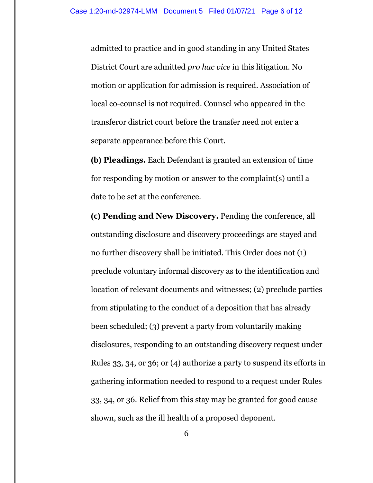admitted to practice and in good standing in any United States District Court are admitted *pro hac vice* in this litigation. No motion or application for admission is required. Association of local co-counsel is not required. Counsel who appeared in the transferor district court before the transfer need not enter a separate appearance before this Court.

**(b) Pleadings.** Each Defendant is granted an extension of time for responding by motion or answer to the complaint(s) until a date to be set at the conference.

**(c) Pending and New Discovery.** Pending the conference, all outstanding disclosure and discovery proceedings are stayed and no further discovery shall be initiated. This Order does not (1) preclude voluntary informal discovery as to the identification and location of relevant documents and witnesses; (2) preclude parties from stipulating to the conduct of a deposition that has already been scheduled; (3) prevent a party from voluntarily making disclosures, responding to an outstanding discovery request under Rules 33, 34, or 36; or (4) authorize a party to suspend its efforts in gathering information needed to respond to a request under Rules 33, 34, or 36. Relief from this stay may be granted for good cause shown, such as the ill health of a proposed deponent.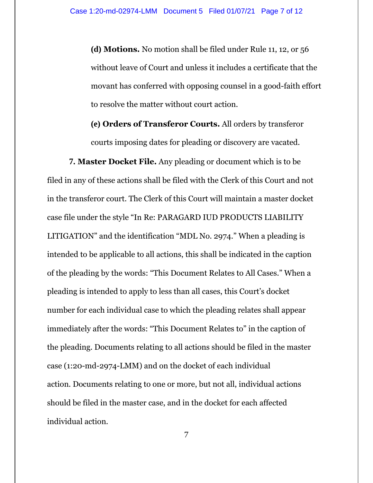**(d) Motions.** No motion shall be filed under Rule 11, 12, or 56 without leave of Court and unless it includes a certificate that the movant has conferred with opposing counsel in a good-faith effort to resolve the matter without court action.

**(e) Orders of Transferor Courts.** All orders by transferor courts imposing dates for pleading or discovery are vacated.

**7. Master Docket File.** Any pleading or document which is to be filed in any of these actions shall be filed with the Clerk of this Court and not in the transferor court. The Clerk of this Court will maintain a master docket case file under the style "In Re: PARAGARD IUD PRODUCTS LIABILITY LITIGATION" and the identification "MDL No. 2974." When a pleading is intended to be applicable to all actions, this shall be indicated in the caption of the pleading by the words: "This Document Relates to All Cases." When a pleading is intended to apply to less than all cases, this Court's docket number for each individual case to which the pleading relates shall appear immediately after the words: "This Document Relates to" in the caption of the pleading. Documents relating to all actions should be filed in the master case (1:20-md-2974-LMM) and on the docket of each individual action. Documents relating to one or more, but not all, individual actions should be filed in the master case, and in the docket for each affected individual action.

7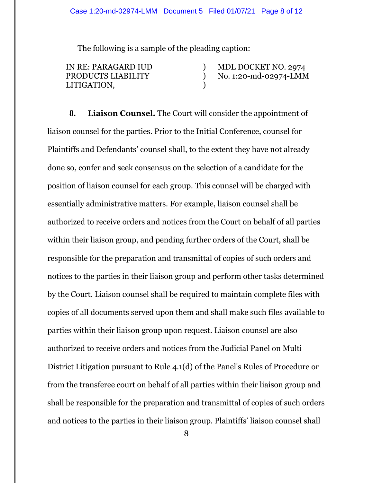#### Case 1:20-md-02974-LMM Document 5 Filed 01/07/21 Page 8 of 12

) ) )

The following is a sample of the pleading caption:

IN RE: PARAGARD IUD PRODUCTS LIABILITY LITIGATION,

 MDL DOCKET NO. 2974 No. 1:20-md-02974-LMM

**8. Liaison Counsel.** The Court will consider the appointment of liaison counsel for the parties. Prior to the Initial Conference, counsel for Plaintiffs and Defendants' counsel shall, to the extent they have not already done so, confer and seek consensus on the selection of a candidate for the position of liaison counsel for each group. This counsel will be charged with essentially administrative matters. For example, liaison counsel shall be authorized to receive orders and notices from the Court on behalf of all parties within their liaison group, and pending further orders of the Court, shall be responsible for the preparation and transmittal of copies of such orders and notices to the parties in their liaison group and perform other tasks determined by the Court. Liaison counsel shall be required to maintain complete files with copies of all documents served upon them and shall make such files available to parties within their liaison group upon request. Liaison counsel are also authorized to receive orders and notices from the Judicial Panel on Multi District Litigation pursuant to Rule 4.1(d) of the Panel's Rules of Procedure or from the transferee court on behalf of all parties within their liaison group and shall be responsible for the preparation and transmittal of copies of such orders and notices to the parties in their liaison group. Plaintiffs' liaison counsel shall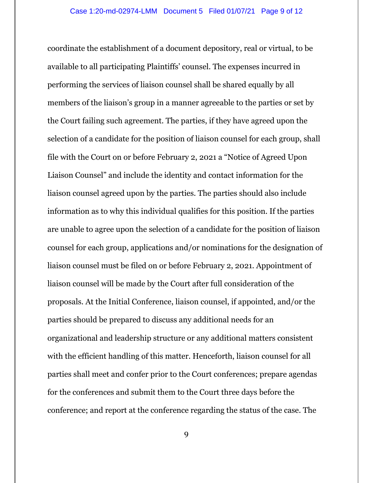coordinate the establishment of a document depository, real or virtual, to be available to all participating Plaintiffs' counsel. The expenses incurred in performing the services of liaison counsel shall be shared equally by all members of the liaison's group in a manner agreeable to the parties or set by the Court failing such agreement. The parties, if they have agreed upon the selection of a candidate for the position of liaison counsel for each group, shall file with the Court on or before February 2, 2021 a "Notice of Agreed Upon Liaison Counsel" and include the identity and contact information for the liaison counsel agreed upon by the parties. The parties should also include information as to why this individual qualifies for this position. If the parties are unable to agree upon the selection of a candidate for the position of liaison counsel for each group, applications and/or nominations for the designation of liaison counsel must be filed on or before February 2, 2021. Appointment of liaison counsel will be made by the Court after full consideration of the proposals. At the Initial Conference, liaison counsel, if appointed, and/or the parties should be prepared to discuss any additional needs for an organizational and leadership structure or any additional matters consistent with the efficient handling of this matter. Henceforth, liaison counsel for all parties shall meet and confer prior to the Court conferences; prepare agendas for the conferences and submit them to the Court three days before the conference; and report at the conference regarding the status of the case. The

9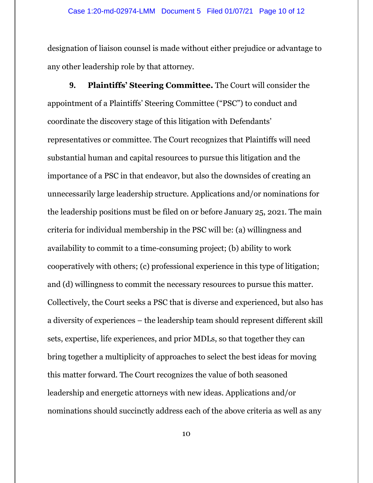designation of liaison counsel is made without either prejudice or advantage to any other leadership role by that attorney.

**9. Plaintiffs' Steering Committee.** The Court will consider the appointment of a Plaintiffs' Steering Committee ("PSC") to conduct and coordinate the discovery stage of this litigation with Defendants' representatives or committee. The Court recognizes that Plaintiffs will need substantial human and capital resources to pursue this litigation and the importance of a PSC in that endeavor, but also the downsides of creating an unnecessarily large leadership structure. Applications and/or nominations for the leadership positions must be filed on or before January 25, 2021. The main criteria for individual membership in the PSC will be: (a) willingness and availability to commit to a time-consuming project; (b) ability to work cooperatively with others; (c) professional experience in this type of litigation; and (d) willingness to commit the necessary resources to pursue this matter. Collectively, the Court seeks a PSC that is diverse and experienced, but also has a diversity of experiences – the leadership team should represent different skill sets, expertise, life experiences, and prior MDLs, so that together they can bring together a multiplicity of approaches to select the best ideas for moving this matter forward. The Court recognizes the value of both seasoned leadership and energetic attorneys with new ideas. Applications and/or nominations should succinctly address each of the above criteria as well as any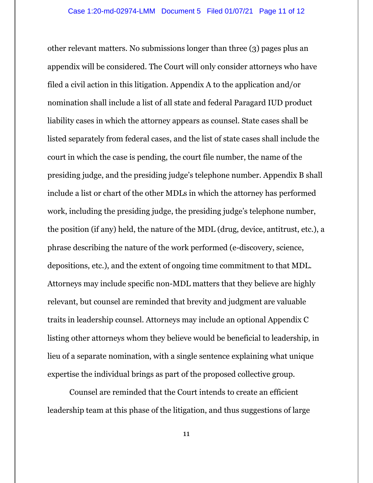other relevant matters. No submissions longer than three (3) pages plus an appendix will be considered. The Court will only consider attorneys who have filed a civil action in this litigation. Appendix A to the application and/or nomination shall include a list of all state and federal Paragard IUD product liability cases in which the attorney appears as counsel. State cases shall be listed separately from federal cases, and the list of state cases shall include the court in which the case is pending, the court file number, the name of the presiding judge, and the presiding judge's telephone number. Appendix B shall include a list or chart of the other MDLs in which the attorney has performed work, including the presiding judge, the presiding judge's telephone number, the position (if any) held, the nature of the MDL (drug, device, antitrust, etc.), a phrase describing the nature of the work performed (e-discovery, science, depositions, etc.), and the extent of ongoing time commitment to that MDL. Attorneys may include specific non-MDL matters that they believe are highly relevant, but counsel are reminded that brevity and judgment are valuable traits in leadership counsel. Attorneys may include an optional Appendix C listing other attorneys whom they believe would be beneficial to leadership, in lieu of a separate nomination, with a single sentence explaining what unique expertise the individual brings as part of the proposed collective group.

Counsel are reminded that the Court intends to create an efficient leadership team at this phase of the litigation, and thus suggestions of large